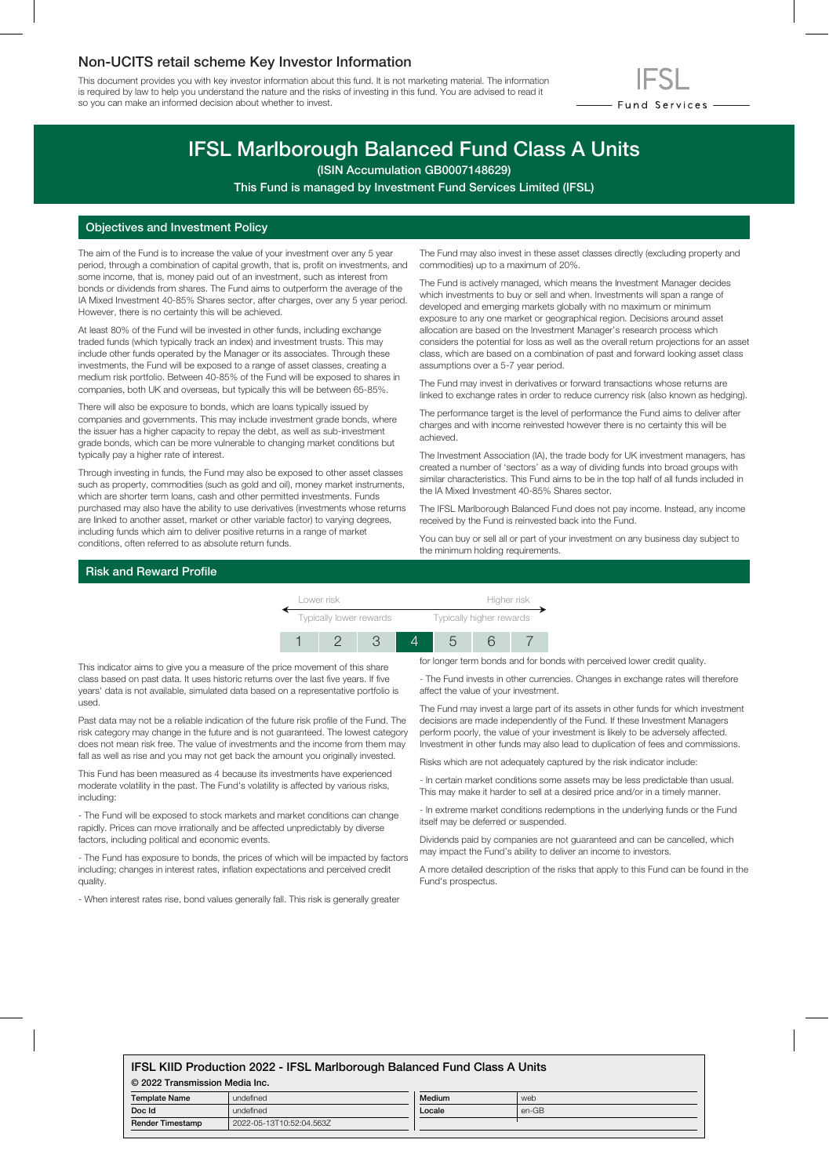## Non-UCITS retail scheme Key Investor Information

This document provides you with key investor information about this fund. It is not marketing material. The information is required by law to help you understand the nature and the risks of investing in this fund. You are advised to read it so you can make an informed decision about whether to invest.



# IFSL Marlborough Balanced Fund Class A Units

(ISIN Accumulation GB0007148629)

This Fund is managed by Investment Fund Services Limited (IFSL)

## Objectives and Investment Policy

The aim of the Fund is to increase the value of your investment over any 5 year period, through a combination of capital growth, that is, profit on investments, and some income, that is, money paid out of an investment, such as interest from bonds or dividends from shares. The Fund aims to outperform the average of the IA Mixed Investment 40-85% Shares sector, after charges, over any 5 year period. However, there is no certainty this will be achieved.

At least 80% of the Fund will be invested in other funds, including exchange traded funds (which typically track an index) and investment trusts. This may include other funds operated by the Manager or its associates. Through these investments, the Fund will be exposed to a range of asset classes, creating a medium risk portfolio. Between 40-85% of the Fund will be exposed to shares in companies, both UK and overseas, but typically this will be between 65-85%.

There will also be exposure to bonds, which are loans typically issued by companies and governments. This may include investment grade bonds, where the issuer has a higher capacity to repay the debt, as well as sub-investment grade bonds, which can be more vulnerable to changing market conditions but typically pay a higher rate of interest.

Through investing in funds, the Fund may also be exposed to other asset classes such as property, commodities (such as gold and oil), money market instruments, which are shorter term loans, cash and other permitted investments. Funds purchased may also have the ability to use derivatives (investments whose returns are linked to another asset, market or other variable factor) to varying degrees, including funds which aim to deliver positive returns in a range of market conditions, often referred to as absolute return funds.

The Fund may also invest in these asset classes directly (excluding property and commodities) up to a maximum of 20%.

The Fund is actively managed, which means the Investment Manager decides which investments to buy or sell and when. Investments will span a range of developed and emerging markets globally with no maximum or minimum exposure to any one market or geographical region. Decisions around asset allocation are based on the Investment Manager's research process which considers the potential for loss as well as the overall return projections for an asset class, which are based on a combination of past and forward looking asset class assumptions over a 5-7 year period.

The Fund may invest in derivatives or forward transactions whose returns are linked to exchange rates in order to reduce currency risk (also known as hedging).

The performance target is the level of performance the Fund aims to deliver after charges and with income reinvested however there is no certainty this will be achieved.

The Investment Association (IA), the trade body for UK investment managers, has created a number of 'sectors' as a way of dividing funds into broad groups with similar characteristics. This Fund aims to be in the top half of all funds included in the IA Mixed Investment 40-85% Shares sector.

The IFSL Marlborough Balanced Fund does not pay income. Instead, any income received by the Fund is reinvested back into the Fund.

You can buy or sell all or part of your investment on any business day subject to the minimum holding requirements.

#### Risk and Reward Profile

| Lower risk              |  |  |  | Higher risk              |  |  |
|-------------------------|--|--|--|--------------------------|--|--|
| Typically lower rewards |  |  |  | Typically higher rewards |  |  |
|                         |  |  |  |                          |  |  |

This indicator aims to give you a measure of the price movement of this share class based on past data. It uses historic returns over the last five years. If five years' data is not available, simulated data based on a representative portfolio is used.

Past data may not be a reliable indication of the future risk profile of the Fund. The risk category may change in the future and is not guaranteed. The lowest category does not mean risk free. The value of investments and the income from them may fall as well as rise and you may not get back the amount you originally invested.

This Fund has been measured as 4 because its investments have experienced moderate volatility in the past. The Fund's volatility is affected by various risks, including:

- The Fund will be exposed to stock markets and market conditions can change rapidly. Prices can move irrationally and be affected unpredictably by diverse factors, including political and economic events.

- The Fund has exposure to bonds, the prices of which will be impacted by factors including; changes in interest rates, inflation expectations and perceived credit quality.

- When interest rates rise, bond values generally fall. This risk is generally greater

for longer term bonds and for bonds with perceived lower credit quality.

- The Fund invests in other currencies. Changes in exchange rates will therefore affect the value of your investment.

The Fund may invest a large part of its assets in other funds for which investment decisions are made independently of the Fund. If these Investment Managers perform poorly, the value of your investment is likely to be adversely affected. Investment in other funds may also lead to duplication of fees and commissions.

Risks which are not adequately captured by the risk indicator include:

- In certain market conditions some assets may be less predictable than usual. This may make it harder to sell at a desired price and/or in a timely manner.

- In extreme market conditions redemptions in the underlying funds or the Fund itself may be deferred or suspended.

Dividends paid by companies are not guaranteed and can be cancelled, which may impact the Fund's ability to deliver an income to investors.

A more detailed description of the risks that apply to this Fund can be found in the Fund's prospectus.